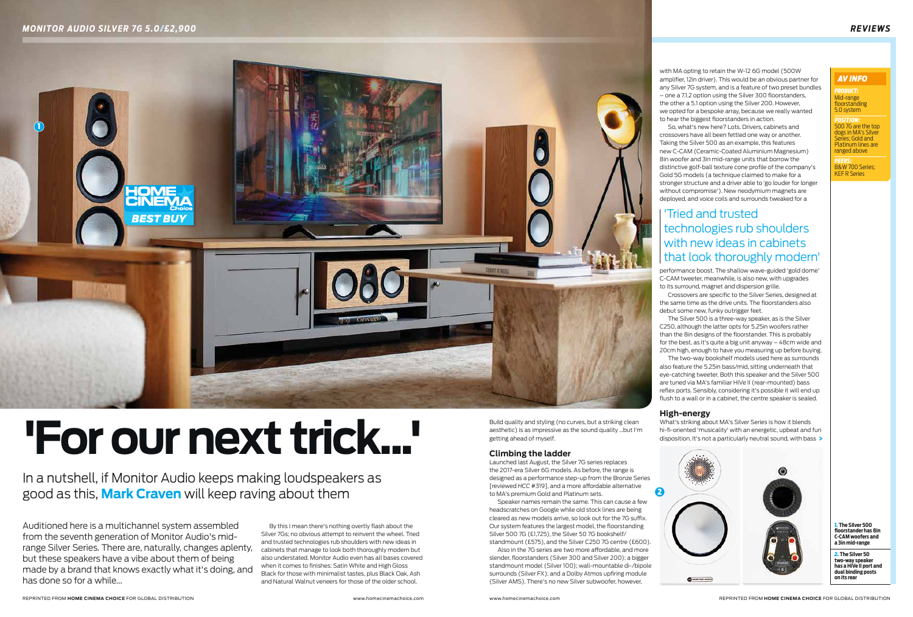

with MA opting to retain the W-12 6G model (500W amplifier, 12in driver). This would be an obvious partner for any Silver 7G system, and is a feature of two preset bundles – one a 7.1.2 option using the Silver 300 floorstanders, the other a 5.1 option using the Silver 200. However, we opted for a bespoke array, because we really wanted to hear the biggest floorstanders in action.

So, what's new here? Lots. Drivers, cabinets and crossovers have all been fettled one way or another. Taking the Silver 500 as an example, this features new C-CAM (Ceramic-Coated Aluminium Magnesium) 8in woofer and 3in mid-range units that borrow the distinctive golf-ball texture cone profile of the company's Gold 5G models (a technique claimed to make for a stronger structure and a driver able to 'go louder for longer without compromise'). New neodymium magnets are deployed, and voice coils and surrounds tweaked for a

What's striking about MA's Silver Series is how it blends hi-fi-oriented 'musicality' with an energetic, upbeat and fun disposition. It's not a particularly neutral sound, with bass >

performance boost. The shallow wave-guided 'gold dome' C-CAM tweeter, meanwhile, is also new, with upgrades to its surround, magnet and dispersion grille.

Crossovers are specific to the Silver Series, designed at the same time as the drive units. The floorstanders also debut some new, funky outrigger feet.

The Silver 500 is a three-way speaker, as is the Silver C250, although the latter opts for 5.25in woofers rather than the 8in designs of the floorstander. This is probably for the best, as it's quite a big unit anyway – 48cm wide and 20cm high, enough to have you measuring up before buying.

The two-way bookshelf models used here as surrounds also feature the 5.25in bass/mid, sitting underneath that eye-catching tweeter. Both this speaker and the Silver 500 are tuned via MA's familiar HiVe II (rear-mounted) bass reflex ports. Sensibly, considering it's possible it will end up flush to a wall or in a cabinet, the centre speaker is sealed.

## **High-energy**

By this I mean there's nothing overtly flash about the Silver 7Gs; no obvious attempt to reinvent the wheel. Tried and trusted technologies rub shoulders with new ideas in cabinets that manage to look both thoroughly modern but also understated. Monitor Audio even has all bases covered when it comes to finishes: Satin White and High Gloss Black for those with minimalist tastes, plus Black Oak, Ash and Natural Walnut veneers for those of the older school.

Auditioned here is a multichannel system assembled from the seventh generation of Monitor Audio's midrange Silver Series. There are, naturally, changes aplenty, but these speakers have a vibe about them of being made by a brand that knows exactly what it's doing, and has done so for a while...

In a nutshell, if Monitor Audio keeps making loudspeakers as good as this, **Mark Craven** will keep raving about them

# **'For our next trick...'**

*Product:* Mid-range floorstanding 5.0 system

*Position:*  500 7G are the top dogs in MA's Silver Series; Gold and Platinum lines are ranged above

*Peers:*  B&W 700 Series; KEF R Series

### *AV Info*

*1.* **The Silver 500 floorstander has 8in C-CAM woofers and a 3in mid-range**

*2.* **The Silver 50 two-way speaker has a HiVe II port and dual binding posts on its rear**

Build quality and styling (no curves, but a striking clean aesthetic) is as impressive as the sound quality ...but I'm getting ahead of myself.

## **Climbing the ladder**

Launched last August, the Silver 7G series replaces the 2017-era Silver 6G models. As before, the range is designed as a performance step-up from the Bronze Series [reviewed *HCC* #319], and a more affordable alternative to MA's premium Gold and Platinum sets.

Speaker names remain the same. This can cause a few headscratches on Google while old stock lines are being cleared as new models arrive, so look out for the 7G suffix. Our system features the largest model, the floorstanding Silver 500 7G (£1,725), the Silver 50 7G bookshelf/

standmount (£575), and the Silver C250 7G centre (£600). Also in the 7G series are two more affordable, and more slender, floorstanders (Silver 300 and Silver 200); a bigger standmount model (Silver 100); wall-mountable di-/bipole surrounds (Silver FX); and a Dolby Atmos upfiring module (Silver AMS). There's no new Silver subwoofer, however,

# 'Tried and trusted technologies rub shoulders with new ideas in cabinets that look thoroughly modern'